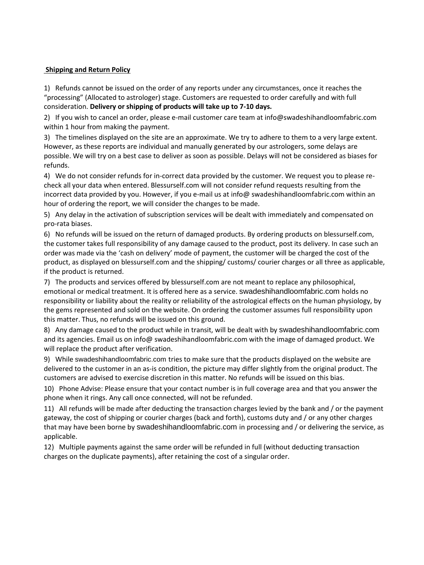## **Shipping and Return Policy**

1) Refunds cannot be issued on the order of any reports under any circumstances, once it reaches the "processing" (Allocated to astrologer) stage. Customers are requested to order carefully and with full consideration. **Delivery or shipping of products will take up to 7-10 days.**

2) If you wish to cancel an order, please e-mail customer care team at info@swadeshihandloomfabric.com within 1 hour from making the payment.

3) The timelines displayed on the site are an approximate. We try to adhere to them to a very large extent. However, as these reports are individual and manually generated by our astrologers, some delays are possible. We will try on a best case to deliver as soon as possible. Delays will not be considered as biases for refunds.

4) We do not consider refunds for in-correct data provided by the customer. We request you to please recheck all your data when entered. Blessurself.com will not consider refund requests resulting from the incorrect data provided by you. However, if you e-mail us at info@ swadeshihandloomfabric.com within an hour of ordering the report, we will consider the changes to be made.

5) Any delay in the activation of subscription services will be dealt with immediately and compensated on pro-rata biases.

6) No refunds will be issued on the return of damaged products. By ordering products on blessurself.com, the customer takes full responsibility of any damage caused to the product, post its delivery. In case such an order was made via the 'cash on delivery' mode of payment, the customer will be charged the cost of the product, as displayed on blessurself.com and the shipping/ customs/ courier charges or all three as applicable, if the product is returned.

7) The products and services offered by blessurself.com are not meant to replace any philosophical, emotional or medical treatment. It is offered here as a service. swadeshihandloomfabric.com holds no responsibility or liability about the reality or reliability of the astrological effects on the human physiology, by the gems represented and sold on the website. On ordering the customer assumes full responsibility upon this matter. Thus, no refunds will be issued on this ground.

8) Any damage caused to the product while in transit, will be dealt with by swadeshihandloomfabric.com and its agencies. Email us on info@ swadeshihandloomfabric.com with the image of damaged product. We will replace the product after verification.

9) While swadeshihandloomfabric.com tries to make sure that the products displayed on the website are delivered to the customer in an as-is condition, the picture may differ slightly from the original product. The customers are advised to exercise discretion in this matter. No refunds will be issued on this bias.

10) Phone Advise: Please ensure that your contact number is in full coverage area and that you answer the phone when it rings. Any call once connected, will not be refunded.

11) All refunds will be made after deducting the transaction charges levied by the bank and / or the payment gateway, the cost of shipping or courier charges (back and forth), customs duty and / or any other charges that may have been borne by swadeshihandloomfabric.com in processing and / or delivering the service, as applicable.

12) Multiple payments against the same order will be refunded in full (without deducting transaction charges on the duplicate payments), after retaining the cost of a singular order.